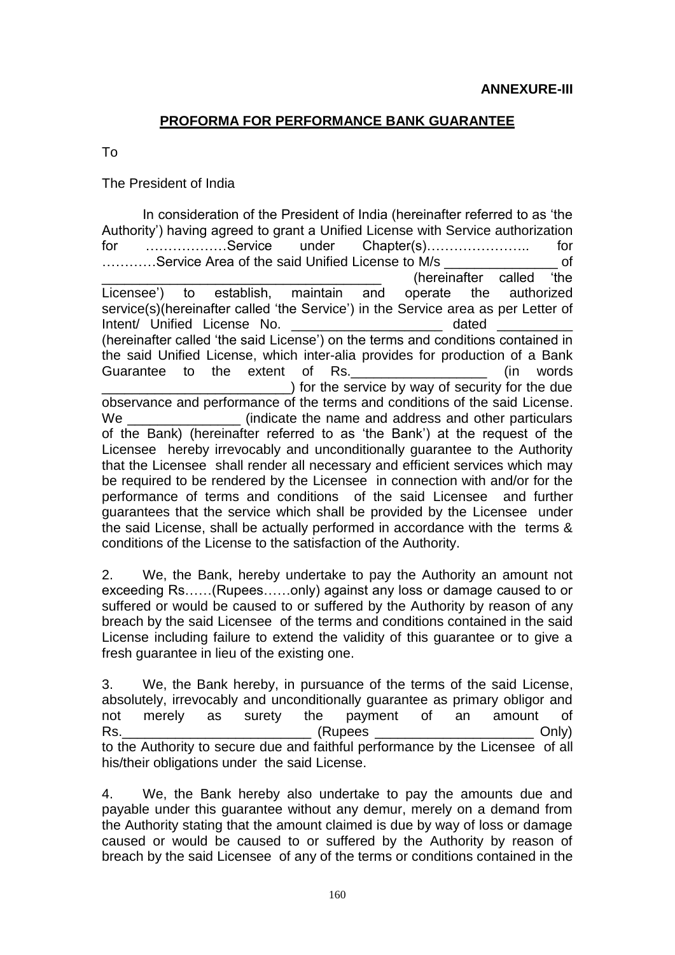## **PROFORMA FOR PERFORMANCE BANK GUARANTEE**

To

The President of India

In consideration of the President of India (hereinafter referred to as 'the Authority') having agreed to grant a Unified License with Service authorization for ………………Service under Chapter(s)………………….. for …………Service Area of the said Unified License to M/s \_\_\_\_\_\_\_\_\_\_\_\_\_\_\_ of (hereinafter called 'the Licensee') to establish, maintain and operate the authorized service(s)(hereinafter called 'the Service') in the Service area as per Letter of Intent/ Unified License No. Intent/ Unified License No. (hereinafter called 'the said License') on the terms and conditions contained in the said Unified License, which inter-alia provides for production of a Bank Guarantee to the extent of Rs. The state of the words of the state of the state of the state of the state of t  $\Box$ ) for the service by way of security for the due observance and performance of the terms and conditions of the said License. We **EXECT** (indicate the name and address and other particulars of the Bank) (hereinafter referred to as 'the Bank') at the request of the Licensee hereby irrevocably and unconditionally guarantee to the Authority that the Licensee shall render all necessary and efficient services which may be required to be rendered by the Licensee in connection with and/or for the performance of terms and conditions of the said Licensee and further guarantees that the service which shall be provided by the Licensee under the said License, shall be actually performed in accordance with the terms & conditions of the License to the satisfaction of the Authority.

2. We, the Bank, hereby undertake to pay the Authority an amount not exceeding Rs……(Rupees……only) against any loss or damage caused to or suffered or would be caused to or suffered by the Authority by reason of any breach by the said Licensee of the terms and conditions contained in the said License including failure to extend the validity of this guarantee or to give a fresh guarantee in lieu of the existing one.

3. We, the Bank hereby, in pursuance of the terms of the said License, absolutely, irrevocably and unconditionally guarantee as primary obligor and not merely as surety the payment of an amount of Rs. The contract of the contract of the contract of the contract of the contract of the contract of the contract of the contract of the contract of the contract of the contract of the contract of the contract of the contra to the Authority to secure due and faithful performance by the Licensee of all his/their obligations under the said License.

4. We, the Bank hereby also undertake to pay the amounts due and payable under this guarantee without any demur, merely on a demand from the Authority stating that the amount claimed is due by way of loss or damage caused or would be caused to or suffered by the Authority by reason of breach by the said Licensee of any of the terms or conditions contained in the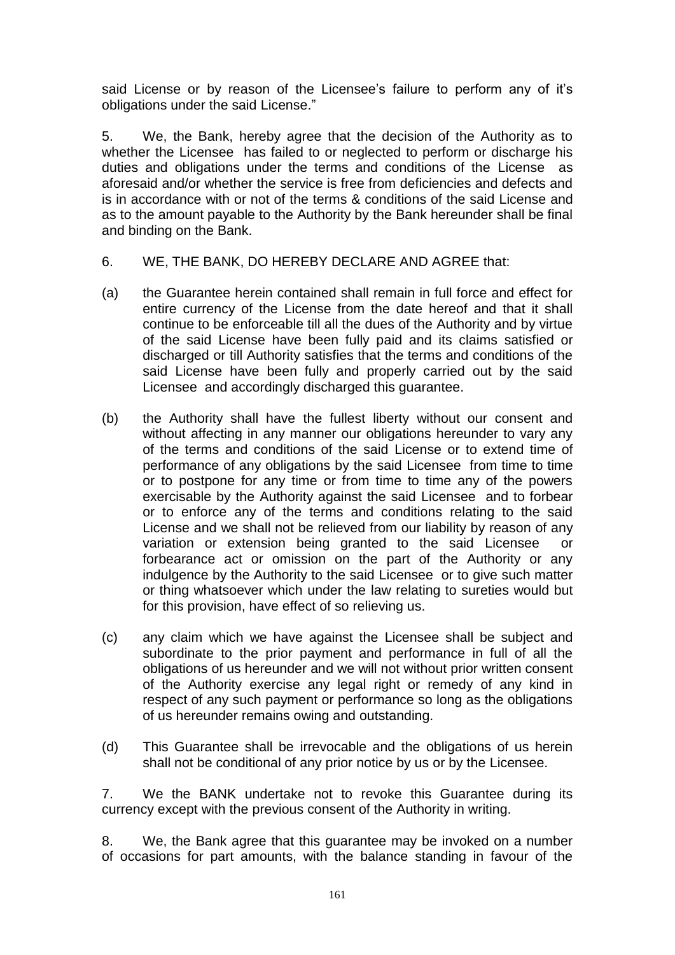said License or by reason of the Licensee's failure to perform any of it's obligations under the said License."

5. We, the Bank, hereby agree that the decision of the Authority as to whether the Licensee has failed to or neglected to perform or discharge his duties and obligations under the terms and conditions of the License as aforesaid and/or whether the service is free from deficiencies and defects and is in accordance with or not of the terms & conditions of the said License and as to the amount payable to the Authority by the Bank hereunder shall be final and binding on the Bank.

- 6. WE, THE BANK, DO HEREBY DECLARE AND AGREE that:
- (a) the Guarantee herein contained shall remain in full force and effect for entire currency of the License from the date hereof and that it shall continue to be enforceable till all the dues of the Authority and by virtue of the said License have been fully paid and its claims satisfied or discharged or till Authority satisfies that the terms and conditions of the said License have been fully and properly carried out by the said Licensee and accordingly discharged this guarantee.
- (b) the Authority shall have the fullest liberty without our consent and without affecting in any manner our obligations hereunder to vary any of the terms and conditions of the said License or to extend time of performance of any obligations by the said Licensee from time to time or to postpone for any time or from time to time any of the powers exercisable by the Authority against the said Licensee and to forbear or to enforce any of the terms and conditions relating to the said License and we shall not be relieved from our liability by reason of any variation or extension being granted to the said Licensee or forbearance act or omission on the part of the Authority or any indulgence by the Authority to the said Licensee or to give such matter or thing whatsoever which under the law relating to sureties would but for this provision, have effect of so relieving us.
- (c) any claim which we have against the Licensee shall be subject and subordinate to the prior payment and performance in full of all the obligations of us hereunder and we will not without prior written consent of the Authority exercise any legal right or remedy of any kind in respect of any such payment or performance so long as the obligations of us hereunder remains owing and outstanding.
- (d) This Guarantee shall be irrevocable and the obligations of us herein shall not be conditional of any prior notice by us or by the Licensee.

7. We the BANK undertake not to revoke this Guarantee during its currency except with the previous consent of the Authority in writing.

8. We, the Bank agree that this guarantee may be invoked on a number of occasions for part amounts, with the balance standing in favour of the